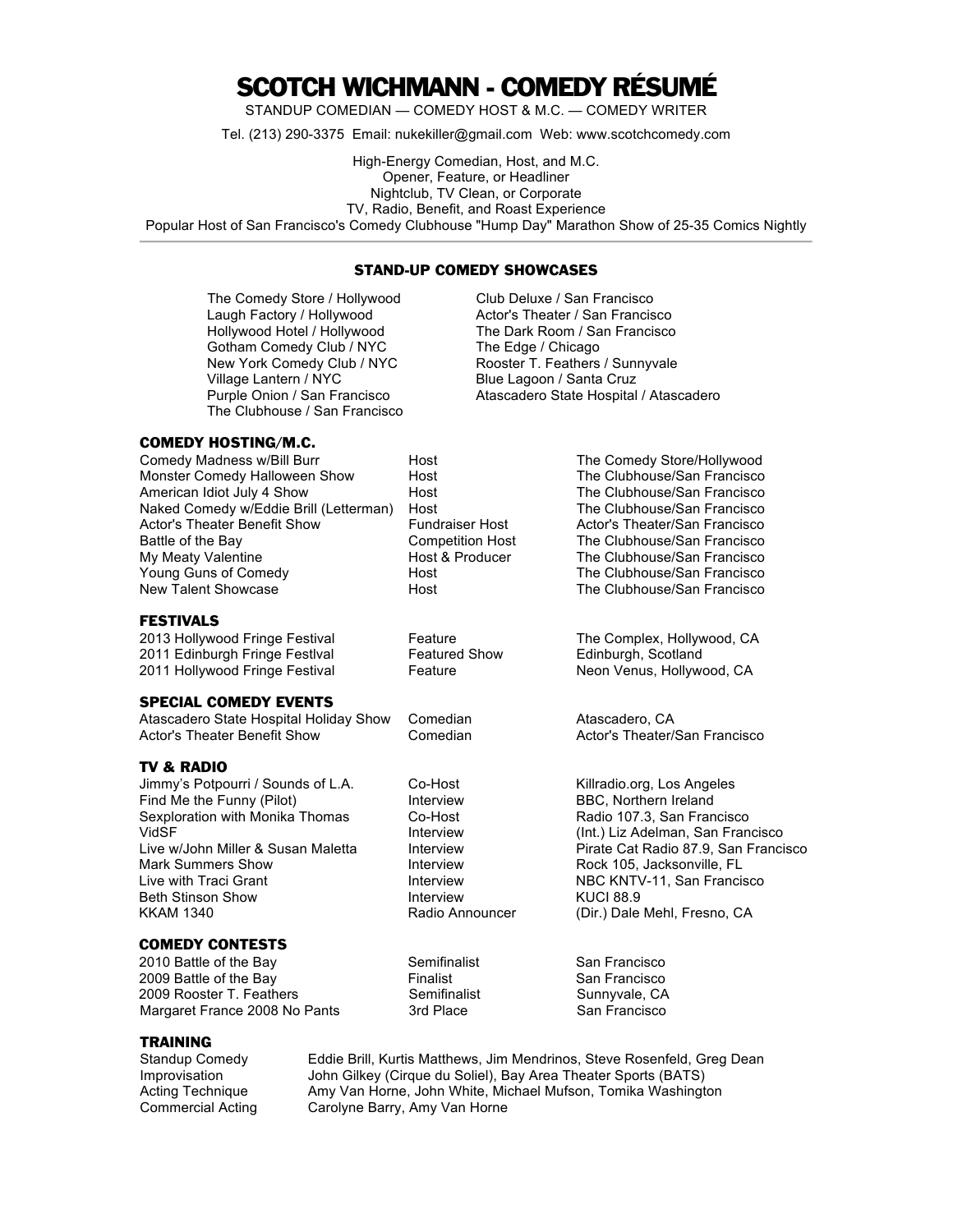## SCOTCH WICHMANN - COMEDY RÉSUMÉ

STANDUP COMEDIAN — COMEDY HOST & M.C. — COMEDY WRITER

Tel. (213) 290-3375 Email: nukekiller@gmail.com Web: www.scotchcomedy.com

High-Energy Comedian, Host, and M.C. Opener, Feature, or Headliner Nightclub, TV Clean, or Corporate TV, Radio, Benefit, and Roast Experience Popular Host of San Francisco's Comedy Clubhouse "Hump Day" Marathon Show of 25-35 Comics Nightly

## STAND-UP COMEDY SHOWCASES

The Comedy Store / Hollywood Club Deluxe / San Francisco Laugh Factory / Hollywood Actor's Theater / San Francisco Hollywood Hotel / Hollywood The Dark Room / San Francisco Gotham Comedy Club / NYC The Edge / Chicago<br>
New York Comedy Club / NYC Rooster T. Feathers Rooster T. Feathers / Sunnyvale Village Lantern / NYC Blue Lagoon / Santa Cruz Purple Onion / San Francisco **Atascadero State Hospital / Atascadero** The Clubhouse / San Francisco COMEDY HOSTING/M.C. Comedy Madness w/Bill Burr **Host** Host The Comedy Store/Hollywood Monster Comedy Halloween Show Host The Clubhouse/San Francisco American Idiot July 4 Show **Host** Host The Clubhouse/San Francisco Naked Comedy w/Eddie Brill (Letterman) Host The Clubhouse/San Francisco Actor's Theater Benefit Show Fundraiser Host Actor's Theater/San Francisco Battle of the Bay Competition Host The Clubhouse/San Francisco My Meaty Valentine **Host & Producer** The Clubhouse/San Francisco Young Guns of Comedy **No. 2018** Host The Clubhouse/San Francisco<br>New Talent Showcase **The Clubhouse/San Francisco** Host The Clubhouse/San Francisco FESTIVALS 2013 Hollywood Fringe Festival Feature Feature The Complex, Hollywood, CA 2011 Edinburgh Fringe Festlval Featured Show Edinburgh, Scotland 2011 Hollywood Fringe Festival Feature **Feature COSE** Neon Venus, Hollywood, CA SPECIAL COMEDY EVENTS Atascadero State Hospital Holiday Show Comedian **Atascadero, CA** Actor's Theater Benefit Show Comedian Actor's Theater/San Francisco TV & RADIO Jimmy's Potpourri / Sounds of L.A. Co-Host Killradio.org, Los Angeles Find Me the Funny (Pilot) Interview BBC, Northern Ireland<br>Sexploration with Monika Thomas Co-Host Radio 107.3, San Fran Sexploration with Monika Thomas Co-Host Controlled and Radio 107.3, San Francisco<br>VidSF (Int.) Liz Adelman, San Fran Interview (Int.) Liz Adelman, San Francisco Live w/John Miller & Susan Maletta Interview Pirate Cat Radio 87.9, San Francisco Mark Summers Show **Interview 1. Interview** Rock 105, Jacksonville, FL<br>
Live with Traci Grant **Interview** Interview **NBC KNTV-11**, San Francis Interview NBC KNTV-11, San Francisco Beth Stinson Show Interview KUCI 88.9 KKAM 1340 **Radio Announcer** (Dir.) Dale Mehl, Fresno, CA COMEDY CONTESTS 2010 Battle of the Bay Semifinalist San Francisco

2009 Battle of the Bay **Finalist** Finalist San Francisco<br>2009 Rooster T. Feathers **San Francisco** Semifinalist Sunnyvale, CA 2009 Rooster T. Feathers **Semifinalist** Sunnyvale, CA Margaret France 2008 No Pants 3rd Place San Francisco

## TRAINING

Standup Comedy Eddie Brill, Kurtis Matthews, Jim Mendrinos, Steve Rosenfeld, Greg Dean Improvisation John Gilkey (Cirque du Soliel), Bay Area Theater Sports (BATS) Acting Technique **Amy Van Horne, John White, Michael Mufson**, Tomika Washington Commercial Acting Carolyne Barry, Amy Van Horne